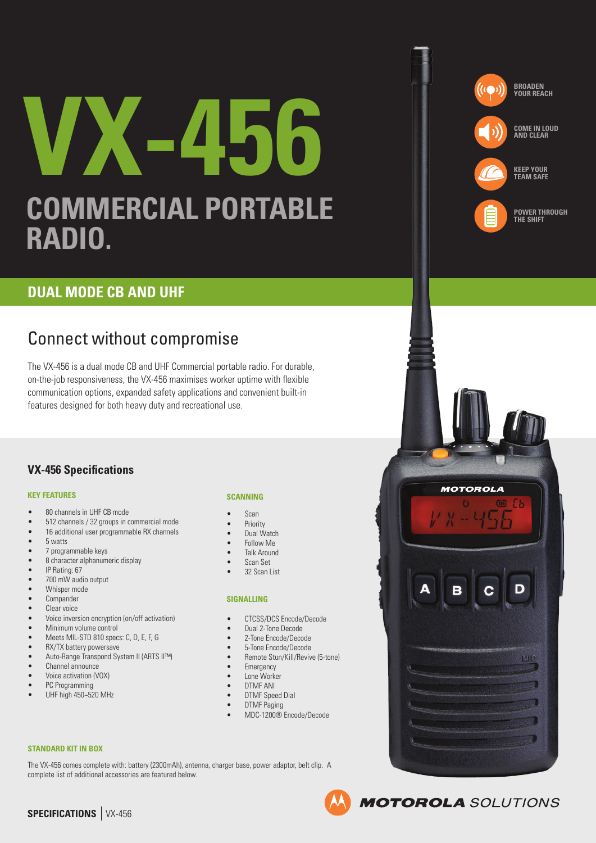# **VX-456 COMMERCIAL PORTABLE RADIO.**



**KEEP YOUR TEAM SAFE**



**MOTOROLA** 

**MOTOROLA** SOLUTIONS

MIC

**POWER THROUGH THE SHIFT**

## **DUAL MODE CB AND UHF**

# Connect without compromise

The VX-456 is a dual mode CB and UHF Commercial portable radio. For durable, on-the-job responsiveness, the VX-456 maximises worker uptime with flexible communication options, expanded safety applications and convenient built-in features designed for both heavy duty and recreational use.

### **VX-456 Specifications**

### **KEY FEATURES**

- 80 channels in UHF CB mode
- 512 channels / 32 groups in commercial mode
- 16 additional user programmable RX channels
- 5 watts
- 7 programmable keys
- 8 character alphanumeric display
- IP Rating:  $67$ <br>•  $700 \text{ mW}$  and
- 700 mW audio output
- Whisper mode
- Compander
- Clear voice<br>• Voice inver
- Voice inversion encryption (on/off activation)
- Minimum volume control
- Meets MIL-STD 810 specs: C, D, E, F, G<br>• RX/TX hattery nowersaye
- RX/TX battery powersave
- Auto-Range Transpond System II (ARTS II™)
- Channel announce • Voice activation (VOX)
- PC Programming
- UHF high 450~520 MHz

### **SCANNING**

- 
- **Priority**
- Dual Watch
- Follow Me
- 
- 
- 

### **SIGNALLING**

- CTCSS/DCS Encode/Decode
- 
- 2-Tone Encode/Decode
- 
- 
- 
- DTMF ANI
- DTMF Speed Dial
- 

### **STANDARD KIT IN BOX**

The VX-456 comes complete with: battery (2300mAh), antenna, charger base, power adaptor, belt clip. A complete list of additional accessories are featured below.



### • Scan

- 
- 
- Talk Around
- Scan Set
- 32 Scan List

- 
- Dual 2-Tone Decode
- 
- 5-Tone Encode/Decode
- Remote Stun/Kill/Revive (5-tone)
- Emergency
- Lone Worker
- 
- DTMF Paging
	- MDC-1200® Encode/Decode